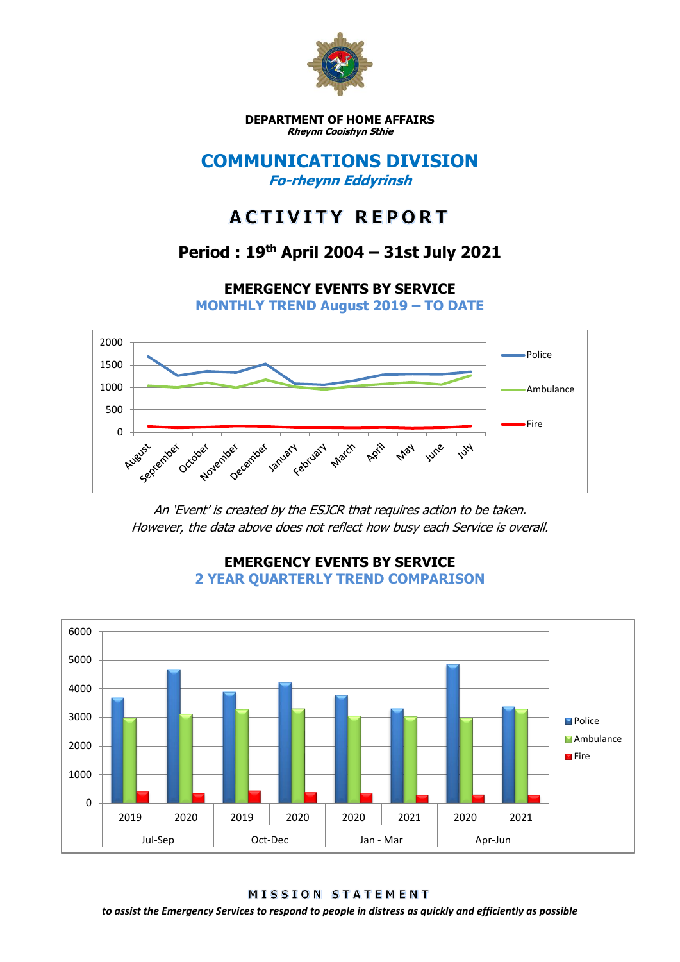

**DEPARTMENT OF HOME AFFAIRS Rheynn Cooishyn Sthie**

## **COMMUNICATIONS DIVISION Fo-rheynn Eddyrinsh**

# **ACTIVITY REPORT**

## **Period : 19th April 2004 – 31st July 2021**

**EMERGENCY EVENTS BY SERVICE**

**MONTHLY TREND August 2019 – TO DATE**



An 'Event' is created by the ESJCR that requires action to be taken. However, the data above does not reflect how busy each Service is overall.



**EMERGENCY EVENTS BY SERVICE 2 YEAR QUARTERLY TREND COMPARISON**

**MISSION STATEMENT** 

*to assist the Emergency Services to respond to people in distress as quickly and efficiently as possible*